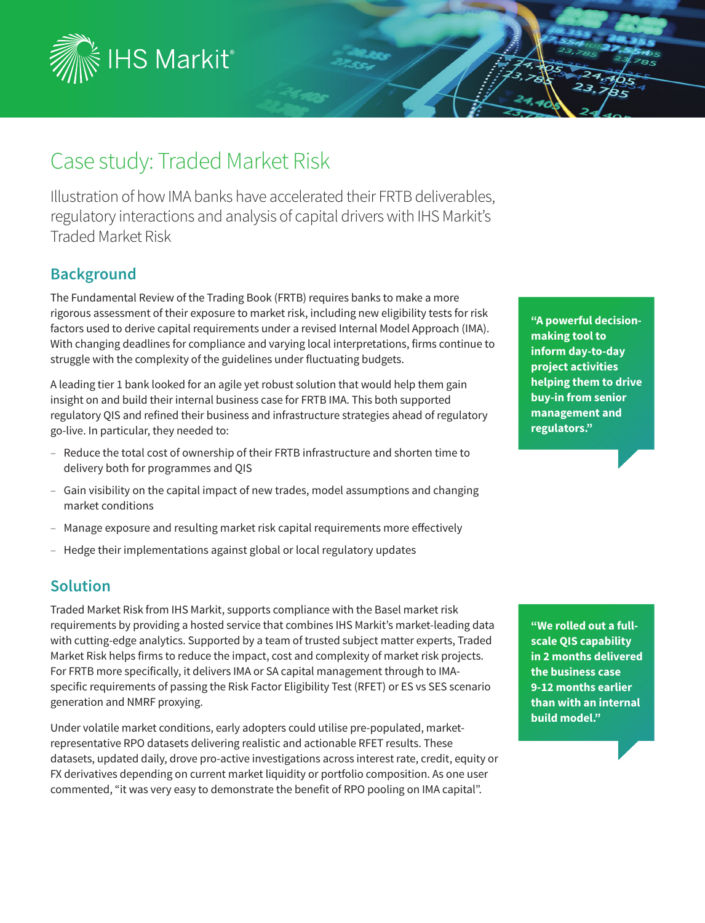

# Case study: Traded Market Risk

Illustration of how IMA banks have accelerated their FRTB deliverables, regulatory interactions and analysis of capital drivers with IHS Markit's Traded Market Risk

## **Background**

The Fundamental Review of the Trading Book (FRTB) requires banks to make a more rigorous assessment of their exposure to market risk, including new eligibility tests for risk factors used to derive capital requirements under a revised Internal Model Approach (IMA). With changing deadlines for compliance and varying local interpretations, firms continue to struggle with the complexity of the guidelines under fluctuating budgets.

A leading tier 1 bank looked for an agile yet robust solution that would help them gain insight on and build their internal business case for FRTB IMA. This both supported regulatory QIS and refined their business and infrastructure strategies ahead of regulatory go-live. In particular, they needed to:

- Reduce the total cost of ownership of their FRTB infrastructure and shorten time to delivery both for programmes and QIS
- ‒ Gain visibility on the capital impact of new trades, model assumptions and changing market conditions
- ‒ Manage exposure and resulting market risk capital requirements more effectively
- Hedge their implementations against global or local regulatory updates

## **Solution**

Traded Market Risk from IHS Markit, supports compliance with the Basel market risk requirements by providing a hosted service that combines IHS Markit's market-leading data with cutting-edge analytics. Supported by a team of trusted subject matter experts, Traded Market Risk helps firms to reduce the impact, cost and complexity of market risk projects. For FRTB more specifically, it delivers IMA or SA capital management through to IMAspecific requirements of passing the Risk Factor Eligibility Test (RFET) or ES vs SES scenario generation and NMRF proxying.

Under volatile market conditions, early adopters could utilise pre-populated, marketrepresentative RPO datasets delivering realistic and actionable RFET results. These datasets, updated daily, drove pro-active investigations across interest rate, credit, equity or FX derivatives depending on current market liquidity or portfolio composition. As one user commented, "it was very easy to demonstrate the benefit of RPO pooling on IMA capital".

**"A powerful decisionmaking tool to inform day-to-day project activities helping them to drive buy-in from senior management and regulators."** 

**"We rolled out a fullscale QIS capability in 2 months delivered the business case 9-12 months earlier than with an internal build model."**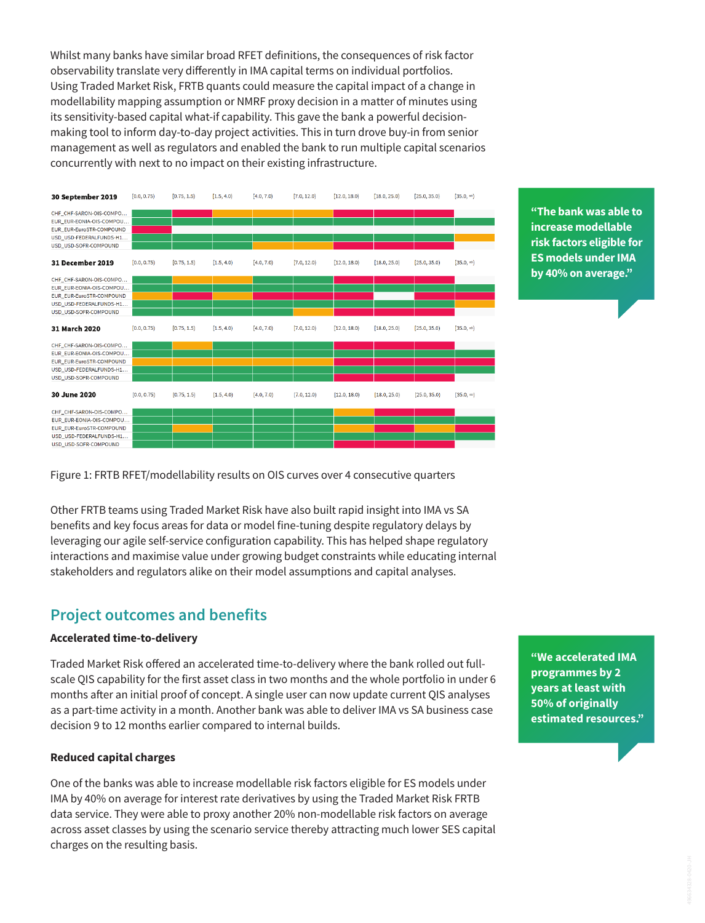Whilst many banks have similar broad RFET definitions, the consequences of risk factor observability translate very differently in IMA capital terms on individual portfolios. Using Traded Market Risk, FRTB quants could measure the capital impact of a change in modellability mapping assumption or NMRF proxy decision in a matter of minutes using its sensitivity-based capital what-if capability. This gave the bank a powerful decisionmaking tool to inform day-to-day project activities. This in turn drove buy-in from senior management as well as regulators and enabled the bank to run multiple capital scenarios concurrently with next to no impact on their existing infrastructure.



**"The bank was able to increase modellable risk factors eligible for ES models under IMA by 40% on average."**

Figure 1: FRTB RFET/modellability results on OIS curves over 4 consecutive quarters

Other FRTB teams using Traded Market Risk have also built rapid insight into IMA vs SA benefits and key focus areas for data or model fine-tuning despite regulatory delays by leveraging our agile self-service configuration capability. This has helped shape regulatory interactions and maximise value under growing budget constraints while educating internal stakeholders and regulators alike on their model assumptions and capital analyses.

### **Project outcomes and benefits**

#### **Accelerated time-to-delivery**

Traded Market Risk offered an accelerated time-to-delivery where the bank rolled out fullscale QIS capability for the first asset class in two months and the whole portfolio in under 6 months after an initial proof of concept. A single user can now update current QIS analyses as a part-time activity in a month. Another bank was able to deliver IMA vs SA business case decision 9 to 12 months earlier compared to internal builds.

#### **Reduced capital charges**

One of the banks was able to increase modellable risk factors eligible for ES models under IMA by 40% on average for interest rate derivatives by using the Traded Market Risk FRTB data service. They were able to proxy another 20% non-modellable risk factors on average across asset classes by using the scenario service thereby attracting much lower SES capital charges on the resulting basis.

**"We accelerated IMA programmes by 2 years at least with 50% of originally estimated resources."**